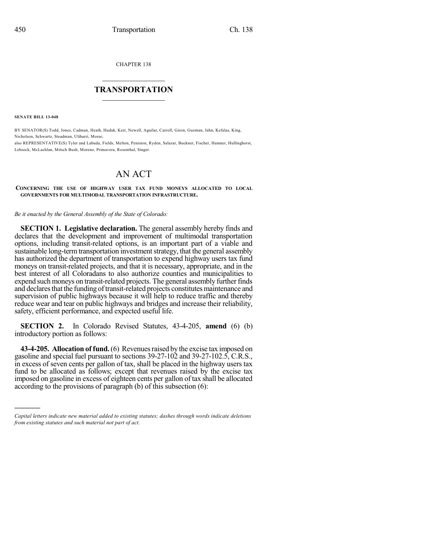CHAPTER 138

## $\mathcal{L}_\text{max}$  . The set of the set of the set of the set of the set of the set of the set of the set of the set of the set of the set of the set of the set of the set of the set of the set of the set of the set of the set **TRANSPORTATION**  $\_$   $\_$   $\_$   $\_$   $\_$   $\_$   $\_$   $\_$   $\_$   $\_$

**SENATE BILL 13-048**

)))))

BY SENATOR(S) Todd, Jones, Cadman, Heath, Hudak, Kerr, Newell, Aguilar, Carroll, Giron, Guzman, Jahn, Kefalas, King, Nicholson, Schwartz, Steadman, Ulibarri, Morse; also REPRESENTATIVE(S) Tyler and Labuda, Fields, Melton, Peniston, Ryden, Salazar, Buckner, Fischer, Hamner, Hullinghorst, Lebsock, McLachlan, Mitsch Bush, Moreno, Primavera, Rosenthal, Singer.

## AN ACT

**CONCERNING THE USE OF HIGHWAY USER TAX FUND MONEYS ALLOCATED TO LOCAL GOVERNMENTS FOR MULTIMODAL TRANSPORTATION INFRASTRUCTURE.**

*Be it enacted by the General Assembly of the State of Colorado:*

**SECTION 1. Legislative declaration.** The general assembly hereby finds and declares that the development and improvement of multimodal transportation options, including transit-related options, is an important part of a viable and sustainable long-term transportation investment strategy, that the general assembly has authorized the department of transportation to expend highway users tax fund moneys on transit-related projects, and that it is necessary, appropriate, and in the best interest of all Coloradans to also authorize counties and municipalities to expend such moneys on transit-related projects. The general assembly further finds and declares that the funding of transit-related projects constitutes maintenance and supervision of public highways because it will help to reduce traffic and thereby reduce wear and tear on public highways and bridges and increase their reliability, safety, efficient performance, and expected useful life.

**SECTION 2.** In Colorado Revised Statutes, 43-4-205, **amend** (6) (b) introductory portion as follows:

**43-4-205. Allocation of fund.**(6) Revenuesraised by the excise tax imposed on gasoline and special fuel pursuant to sections 39-27-102 and 39-27-102.5, C.R.S., in excess of seven cents per gallon of tax, shall be placed in the highway users tax fund to be allocated as follows; except that revenues raised by the excise tax imposed on gasoline in excess of eighteen cents per gallon of tax shall be allocated according to the provisions of paragraph (b) of this subsection (6):

*Capital letters indicate new material added to existing statutes; dashes through words indicate deletions from existing statutes and such material not part of act.*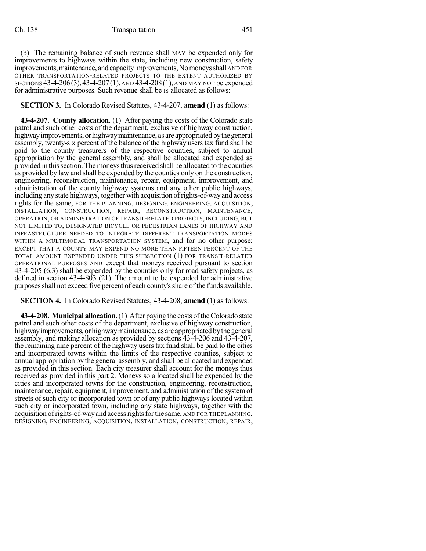(b) The remaining balance of such revenue shall MAY be expended only for improvements to highways within the state, including new construction, safety improvements, maintenance, and capacity improvements, No moneys shall AND FOR OTHER TRANSPORTATION-RELATED PROJECTS TO THE EXTENT AUTHORIZED BY SECTIONS 43-4-206(3),43-4-207(1), AND 43-4-208(1), AND MAY NOT be expended for administrative purposes. Such revenue shall be IS allocated as follows:

## **SECTION 3.** In Colorado Revised Statutes, 43-4-207, **amend** (1) as follows:

**43-4-207. County allocation.** (1) After paying the costs of the Colorado state patrol and such other costs of the department, exclusive of highway construction, highway improvements, or highway maintenance, as are appropriated by the general assembly, twenty-six percent of the balance of the highway users tax fund shall be paid to the county treasurers of the respective counties, subject to annual appropriation by the general assembly, and shall be allocated and expended as provided in thissection.Themoneysthusreceived shall be allocated to the counties as provided by law and shall be expended by the counties only on the construction, engineering, reconstruction, maintenance, repair, equipment, improvement, and administration of the county highway systems and any other public highways, including any state highways, together with acquisition ofrights-of-way and access rights for the same, FOR THE PLANNING, DESIGNING, ENGINEERING, ACQUISITION, INSTALLATION, CONSTRUCTION, REPAIR, RECONSTRUCTION, MAINTENANCE, OPERATION, OR ADMINISTRATION OF TRANSIT-RELATED PROJECTS, INCLUDING, BUT NOT LIMITED TO, DESIGNATED BICYCLE OR PEDESTRIAN LANES OF HIGHWAY AND INFRASTRUCTURE NEEDED TO INTEGRATE DIFFERENT TRANSPORTATION MODES WITHIN A MULTIMODAL TRANSPORTATION SYSTEM, and for no other purpose; EXCEPT THAT A COUNTY MAY EXPEND NO MORE THAN FIFTEEN PERCENT OF THE TOTAL AMOUNT EXPENDED UNDER THIS SUBSECTION (1) FOR TRANSIT-RELATED OPERATIONAL PURPOSES AND except that moneys received pursuant to section 43-4-205 (6.3) shall be expended by the counties only for road safety projects, as defined in section 43-4-803 (21). The amount to be expended for administrative purposes shall not exceed five percent of each county's share of the funds available.

## **SECTION 4.** In Colorado Revised Statutes, 43-4-208, **amend** (1) as follows:

**43-4-208. Municipal allocation.**(1) After paying the costs oftheColorado state patrol and such other costs of the department, exclusive of highway construction, highway improvements, or highway maintenance, as are appropriated by the general assembly, and making allocation as provided by sections 43-4-206 and 43-4-207, the remaining nine percent of the highway users tax fund shall be paid to the cities and incorporated towns within the limits of the respective counties, subject to annual appropriation by the general assembly, and shall be allocated and expended as provided in this section. Each city treasurer shall account for the moneys thus received as provided in this part 2. Moneys so allocated shall be expended by the cities and incorporated towns for the construction, engineering, reconstruction, maintenance, repair, equipment, improvement, and administration of the systemof streets of such city or incorporated town or of any public highways located within such city or incorporated town, including any state highways, together with the acquisition of rights-of-way and access rights for the same, AND FOR THE PLANNING, DESIGNING, ENGINEERING, ACQUISITION, INSTALLATION, CONSTRUCTION, REPAIR,